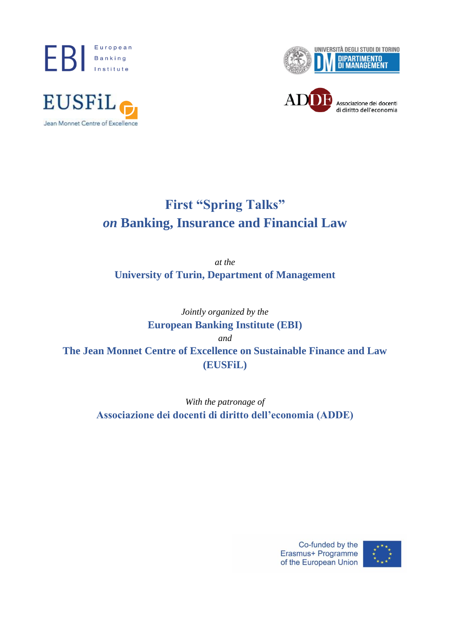





Associazione dei docenti di diritto dell'economia

# **First "Spring Talks"** *on* **Banking, Insurance and Financial Law**

*at the* **University of Turin, Department of Management**

*Jointly organized by the* **European Banking Institute (EBI)** *and* **The Jean Monnet Centre of Excellence on Sustainable Finance and Law (EUSFiL)**

> *With the patronage of* **Associazione dei docenti di diritto dell'economia (ADDE)**

> > Co-funded by the Erasmus+ Programme of the European Union

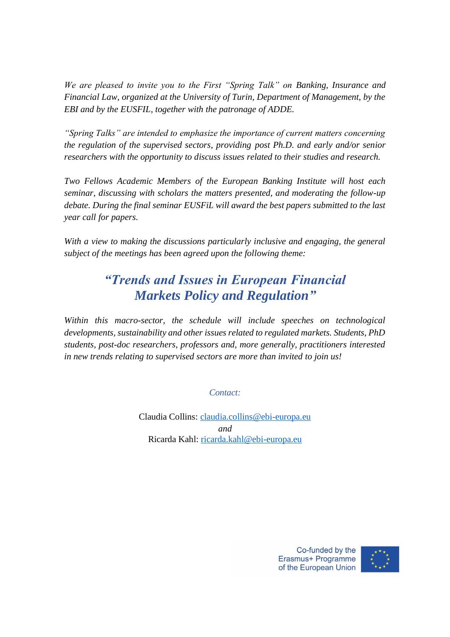*We are pleased to invite you to the First "Spring Talk" on Banking, Insurance and Financial Law, organized at the University of Turin, Department of Management, by the EBI and by the EUSFIL, together with the patronage of ADDE.*

*"Spring Talks" are intended to emphasize the importance of current matters concerning the regulation of the supervised sectors, providing post Ph.D. and early and/or senior researchers with the opportunity to discuss issues related to their studies and research.*

*Two Fellows Academic Members of the European Banking Institute will host each seminar, discussing with scholars the matters presented, and moderating the follow-up debate. During the final seminar EUSFiL will award the best papers submitted to the last year call for papers.*

*With a view to making the discussions particularly inclusive and engaging, the general subject of the meetings has been agreed upon the following theme:*

# *"Trends and Issues in European Financial Markets Policy and Regulation"*

*Within this macro-sector, the schedule will include speeches on technological developments, sustainability and other issues related to regulated markets. Students, PhD students, post-doc researchers, professors and, more generally, practitioners interested in new trends relating to supervised sectors are more than invited to join us!*

*Contact:*

Claudia Collins: [claudia.collins@ebi-europa.eu](mailto:claudia.collins@ebi-europa.eu) *and* Ricarda Kahl: [ricarda.kahl@ebi-europa.eu](mailto:ricarda.kahl@ebi-europa.eu)

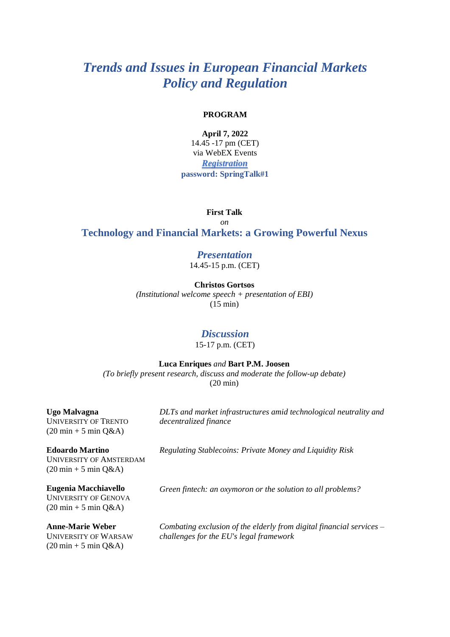#### **PROGRAM**

**April 7, 2022**

14.45 -17 pm (CET) via WebEX Events *[Registration](https://ebi-europa.webex.com/ebi-europa/onstage/g.php?MTID=e4ac4de3f5c2a743dadfc4169aeaa3917)* **password: SpringTalk#1**

**First Talk**

*on* **Technology and Financial Markets: a Growing Powerful Nexus**

# *Presentation*

14.45-15 p.m. (CET)

**Christos Gortsos**

*(Institutional welcome speech + presentation of EBI)* (15 min)

### *Discussion*

15-17 p.m. (CET)

**Luca Enriques** *and* **Bart P.M. Joosen**

*(To briefly present research, discuss and moderate the follow-up debate)* (20 min)

**Ugo Malvagna** UNIVERSITY OF TRENTO  $(20 \text{ min} + 5 \text{ min } \text{O} \& \text{A})$ 

*DLTs and market infrastructures amid technological neutrality and decentralized finance*

**Edoardo Martino** UNIVERSITY OF AMSTERDAM

*Regulating Stablecoins: Private Money and Liquidity Risk*

 $(20 \text{ min} + 5 \text{ min } Q\&A)$ **Eugenia Macchiavello**

*Green fintech: an oxymoron or the solution to all problems?*

UNIVERSITY OF GENOVA  $(20 \text{ min} + 5 \text{ min } Q\&A)$ 

**Anne-Marie Weber** UNIVERSITY OF WARSAW  $(20 \text{ min} + 5 \text{ min } Q\&A)$ 

*Combating exclusion of the elderly from digital financial services – challenges for the EU's legal framework*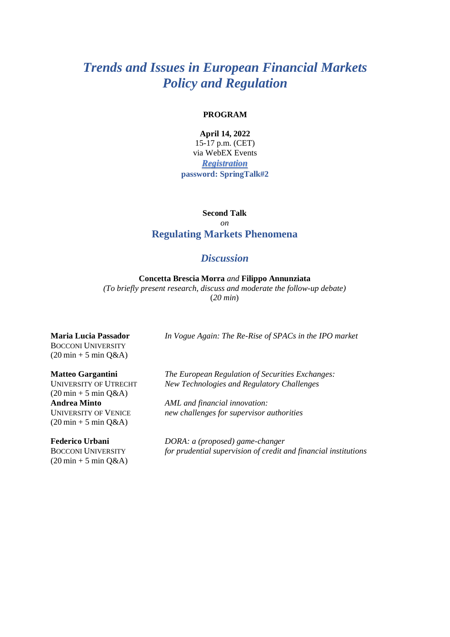#### **PROGRAM**

### **April 14, 2022**

15-17 p.m. (CET) via WebEX Events *[Registration](https://ebi-europa.webex.com/ebi-europa/onstage/g.php?MTID=eeeb2b55c7291b6e5c7c8f71173f9600a)* **password: SpringTalk#2**

**Second Talk**

### *on* **Regulating Markets Phenomena**

## *Discussion*

**Concetta Brescia Morra** *and* **Filippo Annunziata** *(To briefly present research, discuss and moderate the follow-up debate)*

(*20 min*)

**Maria Lucia Passador** BOCCONI UNIVERSITY  $(20 \text{ min} + 5 \text{ min } Q\&A)$ 

#### **Matteo Gargantini**

UNIVERSITY OF UTRECHT  $(20 \text{ min} + 5 \text{ min } Q\&A)$ **Andrea Minto** UNIVERSITY OF VENICE  $(20 \text{ min} + 5 \text{ min } Q\&A)$ 

**Federico Urbani** BOCCONI UNIVERSITY  $(20 \text{ min} + 5 \text{ min } Q\&A)$ 

*In Vogue Again: The Re-Rise of SPACs in the IPO market*

*The European Regulation of Securities Exchanges: New Technologies and Regulatory Challenges*

*AML and financial innovation: new challenges for supervisor authorities*

*DORA: a (proposed) game-changer for prudential supervision of credit and financial institutions*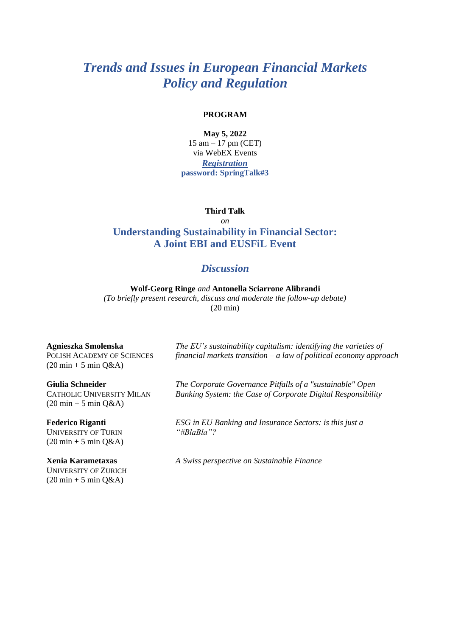#### **PROGRAM**

#### **May 5, 2022**

15 am – 17 pm (CET) via WebEX Events *[Registration](https://ebi-europa.webex.com/ebi-europa/onstage/g.php?MTID=e478a6a26d6c73a291d5a490dc94acefb)* **password: SpringTalk#3**

#### **Third Talk**

# *on* **Understanding Sustainability in Financial Sector: A Joint EBI and EUSFiL Event**

### *Discussion*

**Wolf-Georg Ringe** *and* **Antonella Sciarrone Alibrandi** *(To briefly present research, discuss and moderate the follow-up debate)* (20 min)

**Agnieszka Smolenska**

POLISH ACADEMY OF SCIENCES  $(20 \text{ min} + 5 \text{ min } Q\&A)$ 

**Giulia Schneider** CATHOLIC UNIVERSITY MILAN  $(20 \text{ min} + 5 \text{ min } Q\&A)$ 

**Federico Riganti** UNIVERSITY OF TURIN  $(20 \text{ min} + 5 \text{ min } Q\&A)$ 

**Xenia Karametaxas** UNIVERSITY OF ZURICH  $(20 \text{ min} + 5 \text{ min } Q\&A)$ 

*The EU's sustainability capitalism: identifying the varieties of financial markets transition – a law of political economy approach*

*The Corporate Governance Pitfalls of a "sustainable" Open Banking System: the Case of Corporate Digital Responsibility*

*ESG in EU Banking and Insurance Sectors: is this just a "#BlaBla"?*

*A Swiss perspective on Sustainable Finance*